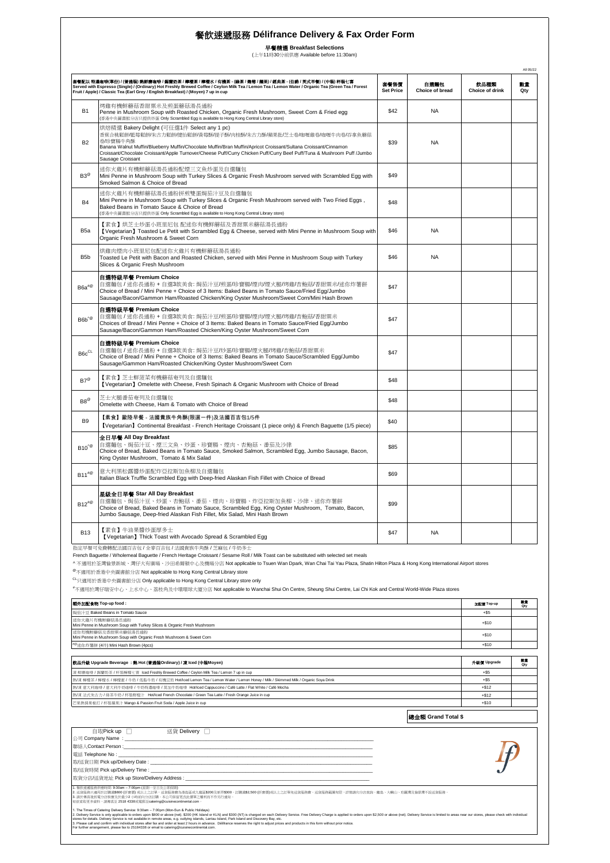早餐精選 **Breakfast Selections** (上午11時30分前供應 Available before 11:30am)

|                                     | 套餐配以 特濃咖啡(單份) / (普通裝) 熱鮮唐咖啡 / 錫蘭奶茶 / 檸檬茶 / 檸檬水 / 有機茶 - (錄茶 / 義莓 / 獲果) / 經典茶 - (伯爵 / 英式早餐) / (中裝) 杯裝七喜<br>Served with Espresso (Single) / (Ordinary) Hot Freshly Brewed Coffee / Ceylon Milk Tea / Lemon Tea / Lemon Water / Organic Tea (Green Tea / Forest<br>Fruit / Apple) / Classic Tea (Earl Grey / English Breakfast) / (Moyen) 7 up in cup                                                                                                                                                                                                                                                                                                    | 套餐售價<br><b>Set Price</b> | 白湊麵包<br>Choice of bread | 飲品種類<br>Choice of drink | 數量<br>Qty |
|-------------------------------------|------------------------------------------------------------------------------------------------------------------------------------------------------------------------------------------------------------------------------------------------------------------------------------------------------------------------------------------------------------------------------------------------------------------------------------------------------------------------------------------------------------------------------------------------------------------------------------------------------------------------------------------------------|--------------------------|-------------------------|-------------------------|-----------|
| <b>B1</b>                           | 烤雞有機鮮蘑菇香甜粟米及煎蛋蘑菇湯長通粉<br>Penne in Mushroom Soup with Roasted Chicken, Organic Fresh Mushroom, Sweet Corn & Fried egg<br>(香港中央圖書館分店只提供炒蛋 Only Scrambled Egg is available to Hong Kong Central Library store)                                                                                                                                                                                                                                                                                                                                                                                                                                           | \$42                     | <b>NA</b>               |                         |           |
| B <sub>2</sub>                      | 烘焙精選 Bakery Delight (可任選1件 Select any 1 pc)<br>香蕉合桃鬆餅/藍莓鬆餅/朱古力鬆餅/健怡鬆餅/黃莓酥/提子酥/肉桂酥/朱古力酥/蘋果批/芝士卷/咖喱雞卷/咖喱牛肉卷/吞拿魚蘑菇<br>卷形寶腸牛角酥<br>Banana Walnut Muffin/Blueberry Muffin/Chocolate Muffin/Bran Muffin/Apricot Croissant/Sultana Croissant/Cinnamon<br>Croissant/Chocolate Croissant/Apple Turnover/Cheese Puff/Curry Chicken Puff/Curry Beef Puff/Tuna & Mushroom Puff /Jumbo<br>Sausage Croissant                                                                                                                                                                                                                                                        | \$39                     | <b>NA</b>               |                         |           |
| $B3^{\circledR}$                    | 迷你火雞片有機鮮蘑菇湯長通粉配煙三文魚炒蛋及自選麵包<br>Mini Penne in Mushroom Soup with Turkey Slices & Organic Fresh Mushroom served with Scrambled Eqq with<br>Smoked Salmon & Choice of Bread                                                                                                                                                                                                                                                                                                                                                                                                                                                                              | \$49                     |                         |                         |           |
| <b>B4</b>                           | 迷你火雞片有機鮮蘑菇湯長通粉拼煎雙蛋焗茄汁豆及自選麵包<br>Mini Penne in Mushroom Soup with Turkey Slices & Organic Fresh Mushroom served with Two Fried Eggs,<br>Baked Beans in Tomato Sauce & Choice of Bread<br>(香港中央圖書館分店只提供炒蛋 Only Scrambled Egg is available to Hong Kong Central Library store)                                                                                                                                                                                                                                                                                                                                                                           | \$48                     |                         |                         |           |
| B <sub>5a</sub>                     | 【素食】烘芝士炒蛋小班里尼包 配迷你有機鮮蘑菇及香甜粟米蘑菇湯長通粉<br>[Vegetarian] Toasted Le Petit with Scrambled Egg & Cheese, served with Mini Penne in Mushroom Soup with<br>Organic Fresh Mushroom & Sweet Corn                                                                                                                                                                                                                                                                                                                                                                                                                                                                 | \$46                     | <b>NA</b>               |                         |           |
| B <sub>5</sub> b                    | 烘雞肉煙肉小班里尼包配迷你火雞片有機鮮蘑菇湯長通粉<br>Toasted Le Petit with Bacon and Roasted Chicken, served with Mini Penne in Mushroom Soup with Turkey<br>Slices & Organic Fresh Mushroom                                                                                                                                                                                                                                                                                                                                                                                                                                                                                 | \$46                     | NA                      |                         |           |
| $\mathsf{B6a}^{\# \otimes}$         | 自選特級早餐 Premium Choice<br>自選麵包 / 迷你長通粉 + 自選3款美食: 焗茄汁豆/煎蛋/珍寶腸/煙肉/煙火腿/烤雞/杏鮑菇/香甜粟米/迷你炸薯餅<br>Choice of Bread / Mini Penne + Choice of 3 Items: Baked Beans in Tomato Sauce/Fried Eqq/Jumbo<br>Sausage/Bacon/Gammon Ham/Roasted Chicken/King Oyster Mushroom/Sweet Corn/Mini Hash Brown                                                                                                                                                                                                                                                                                                                                                                    | \$47                     |                         |                         |           |
| $\mathsf{B6b}^{\wedge\circledcirc}$ | 自選特級早餐 Premium Choice<br>自選麵包 / 迷你長通粉 + 自選3款美食: 焗茄汁豆/煎蛋/珍寶腸/煙肉/煙火腿/烤雞/杏鮑菇/香甜粟米<br>Choices of Bread / Mini Penne + Choice of 3 Items: Baked Beans in Tomato Sauce/Fried Egg/Jumbo<br>Sausage/Bacon/Gammon Ham/Roasted Chicken/King Oyster Mushroom/Sweet Corn                                                                                                                                                                                                                                                                                                                                                                                         | \$47                     |                         |                         |           |
| $\mathsf{B6c}^{\mathsf{CL}}$        | 自選特級早餐 Premium Choice<br>自選麵包 / 迷你長通粉 + 自選3款美食: 焗茄汁豆/炒蛋/珍寶腸/煙火腿/烤雞/杏鮑菇/香甜粟米<br>Choice of Bread / Mini Penne + Choice of 3 Items: Baked Beans in Tomato Sauce/Scrambled Egg/Jumbo<br>Sausage/Gammon Ham/Roasted Chicken/King Oyster Mushroom/Sweet Corn                                                                                                                                                                                                                                                                                                                                                                                               | \$47                     |                         |                         |           |
| $B7^{\circledR}$                    | 【素食】芝士鮮菠菜有機蘑菇奄列及自選麵包<br>[Vegetarian] Omelette with Cheese, Fresh Spinach & Organic Mushroom with Choice of Bread                                                                                                                                                                                                                                                                                                                                                                                                                                                                                                                                     | \$48                     |                         |                         |           |
| $\mathsf{B8}^\otimes$               | 芝士火腿番茄奋列及自撰麵包<br>Omelette with Cheese, Ham & Tomato with Choice of Bread                                                                                                                                                                                                                                                                                                                                                                                                                                                                                                                                                                             | \$48                     |                         |                         |           |
| B <sub>9</sub>                      | 【素食】歐陸早餐 - 法國貴族牛角酥(限選一件)及法國百吉包1/5件<br>[Vegetarian] Continental Breakfast - French Heritage Croissant (1 piece only) & French Baguette (1/5 piece)                                                                                                                                                                                                                                                                                                                                                                                                                                                                                                    | \$40                     |                         |                         |           |
| $B10^{\text{e}}$                    | 全日早餐 All Day Breakfast<br>自選麵包、焗茄汁豆、煙三文魚、炒蛋、珍寶腸、煙肉、杏鮑菇、番茄及沙律<br>Choice of Bread, Baked Beans in Tomato Sauce, Smoked Salmon, Scrambled Egg, Jumbo Sausage, Bacon,<br>King Oyster Mushroom, Tomato & Mix Salad                                                                                                                                                                                                                                                                                                                                                                                                                                        | \$85                     |                         |                         |           |
| $B11^{\#@}$                         | 意大利黑松露醬炒蛋配炸亞拉斯加魚柳及自選麵包<br>Italian Black Truffle Scrambled Egg with Deep-fried Alaskan Fish Fillet with Choice of Bread                                                                                                                                                                                                                                                                                                                                                                                                                                                                                                                               | \$69                     |                         |                         |           |
| $\mathsf{B12}^{\# \otimes }$        | 星級全日早餐 Star All Day Breakfast<br>自選麵包、焗茄汁豆、炒蛋、杏鮑菇、番茄、煙肉、珍寶腸、炸亞拉斯加魚柳、沙律、迷你炸薯餅<br>Choice of Bread, Baked Beans in Tomato Sauce, Scrambled Egg, King Oyster Mushroom, Tomato, Bacon,<br>Jumbo Sausage, Deep-fried Alaskan Fish Fillet, Mix Salad, Mini Hash Brown                                                                                                                                                                                                                                                                                                                                                                                       | \$99                     |                         |                         |           |
| <b>B13</b>                          | 【素食】牛油果醬炒蛋厚多士<br>[Vegetarian] Thick Toast with Avocado Spread & Scrambled Egg                                                                                                                                                                                                                                                                                                                                                                                                                                                                                                                                                                        | \$47                     | NA                      |                         |           |
|                                     | 指定早餐可免費轉配法國百吉包/全麥百吉包/法國貴族牛角酥/芝麻包/牛奶多士<br>French Baguette / Wholemeal Baguette / French Heritage Croissant / Sesame Roll / Milk Toast can be substituted with selected set meals<br>^不適用於荃灣愉景新城、灣仔大有廣場、沙田希爾頓中心及機場分店 Not applicable to Tsuen Wan Dpark, Wan Chai Tai Yau Plaza, Shatin Hilton Plaza & Hong Kong International Airport stores<br><sup>@</sup> 不適用於香港中央圖書館分店 Not applicable to Hong Kong Central Library store<br>CL只適用於香港中央圖書館分店 Only applicable to Hong Kong Central Library store only<br>"不適用於灣仔瑞安中心、上水中心、荔枝角及中環環球大廈分店 Not applicable to Wanchai Shui On Centre, Sheung Shui Centre, Lai Chi Kok and Central World-Wide Plaza stores |                          |                         |                         |           |
|                                     | <b>額外加配食物 Top-up food :</b>                                                                                                                                                                                                                                                                                                                                                                                                                                                                                                                                                                                                                          |                          |                         | 加配價 Top-up              | 動量<br>Qty |
|                                     | 焗茄汁豆 Baked Beans in Tomato Sauce<br>迷你火雞片有機鮮蘑菇湯長通粉                                                                                                                                                                                                                                                                                                                                                                                                                                                                                                                                                                                                   |                          |                         | $+$ \$5                 |           |

+\$10  $\frac{40}{\pi}$ 选你炸薯餅 (4件) Mini Hash Brown (4pcs)  $\rightarrow$  \$10 飲品升級 **Upgrade Beverage :** 熱 **Hot (**普通裝**Ordinary) /** 凍 **Iced (**中裝**Moyen)** 升級價 **Upgrade** 數量 **Qty** 来鮮磨咖啡 / 錫蘭奶茶 / 杯裝檸檬七喜 Iced Freshly Brewed Coffee / Ceylon Milk Tea / Lemon 7 up in cup + 555 Architect - Architect - Architect - Architect - Architect - Architect - Architect - Architect - Architect - Architect - Architec 熱/凍 檸檬茶 / 檸檬水 / 檸檬蜜 / 牛奶 / 低脂牛奶 / 有機豆奶 Hot/Iced Lemon Tea / Lemon Water / Lemon Honey / Milk / Skimmed Milk / Organic Soya Drink +\$5 熱/凍 意大利伽啡 / 意大利牛奶咖啡 / 牛奶特濃咖啡 / 英加牛奶咖啡 · Hot/toed Cappuccino / Café Latte / Flat White / Café Mocha<br>熱/凍 法式外古力 / 絲茶牛的 / Hotel Market / Hourboad Freeho Chocolate / Green Tea Latte / Fresh Orange Juice in cup<br>在果然情果核打 / 怀极鏡果汁 迷你火雞片有機鮮蘑菇湯長通粉<br>Mini Penne in Mushroom Soup with Turkey Slices & Organic Fresh Mushroom<br>迷你有機鮮菌菇及音甜菜米菌菇易<br>Mini Penne in Mushroom Soup with Organic Fresh Mushroom & Sweet Corn

總金額 **Grand Total \$**

| 白取Pick up □<br>送貨 Deliverv □                                                                                                                                                                                                                                                                                                                                                                                                                                                                                                                                                                                                                                                                                                                                                          |  |
|---------------------------------------------------------------------------------------------------------------------------------------------------------------------------------------------------------------------------------------------------------------------------------------------------------------------------------------------------------------------------------------------------------------------------------------------------------------------------------------------------------------------------------------------------------------------------------------------------------------------------------------------------------------------------------------------------------------------------------------------------------------------------------------|--|
| 公司 Company Name: the company of the company of the company of the company of the company of the company of the                                                                                                                                                                                                                                                                                                                                                                                                                                                                                                                                                                                                                                                                        |  |
|                                                                                                                                                                                                                                                                                                                                                                                                                                                                                                                                                                                                                                                                                                                                                                                       |  |
|                                                                                                                                                                                                                                                                                                                                                                                                                                                                                                                                                                                                                                                                                                                                                                                       |  |
|                                                                                                                                                                                                                                                                                                                                                                                                                                                                                                                                                                                                                                                                                                                                                                                       |  |
|                                                                                                                                                                                                                                                                                                                                                                                                                                                                                                                                                                                                                                                                                                                                                                                       |  |
| 取貨分店/送貨地址 Pick up Store/Delivery Address : the control of the control of the control of the control of the control of the control of the control of the control of the control of the control of the control of the control o                                                                                                                                                                                                                                                                                                                                                                                                                                                                                                                                                         |  |
| 1. 餐飲速遞服務供應時間: 9:30am - 7:00pm (星期一至日及公眾假期)<br>2. 送從服務只適用於訂購滿\$800 (折實價) 或以上之訂單,送貨服務費為港島區或九龍區\$200及新界\$300。訂購滿\$2,500 (折實價)或以上之訂單免送貨服務費。送貨服務範圍有限,詳情請向分店查詢。離島、大嶼山、珀麗灣及愉景灣不設送貨服務。<br>3. 請於傳真後致電分店核實及於最少2 小時前向分店訂購。本公司保留更改此價單之權利而不作另行通知。<br>如欲索取更多資料,請傳真至 2518 4338或電郵至catering@cuisinecontinental.com。                                                                                                                                                                                                                                                                                                                                                                                                                                                                                  |  |
| 1. The Times of Catering Delivery Service: 9:30am - 7:00pm (Mon-Sun & Public Holidays)<br>2. Delivery Service is only applicable to orders upon \$800 or above (net). \$200 (HK Island or KLN) and \$300 (NT) is charged on each Delivery Service. Free Delivery Charge is applied to orders upon \$2,500 or above (net). De<br>stores for details. Delivery Service is not available in remote areas, e.g. outlying islands, Lantau Island, Park Island and Discovery Bay, etc.<br>3. Please call and confirm with individual stores after fax and order at least 2 hours in advance. Délifrance reserves the right to adjust prices and products in this form without prior notice.<br>For further arrangement, please fax to 25184338 or email to catering@cuisinecontinental.com. |  |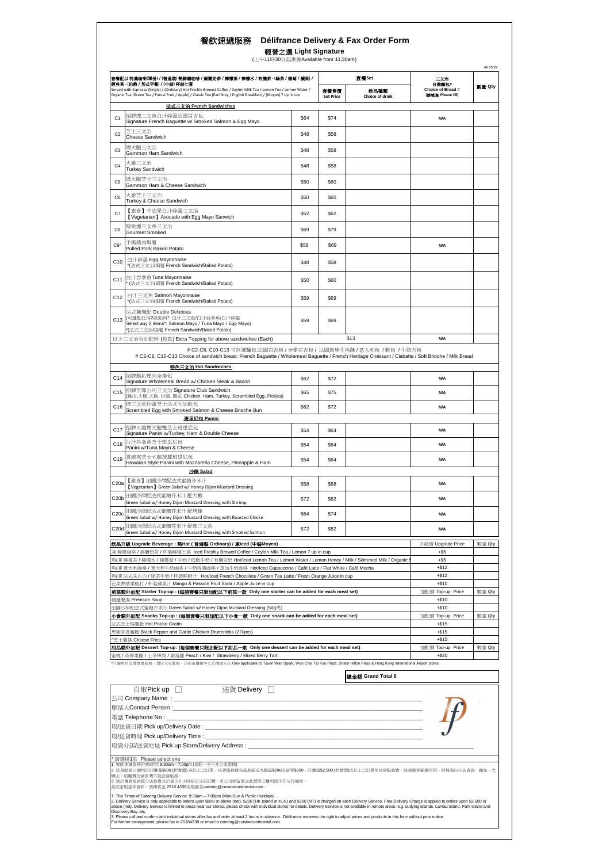|                               | 套餐配以 特濃咖啡(單份) / (普通裝) 熱鮮磨咖啡 / 錫蘭奶茶 / 檸檬茶 / 檸檬水 / 有機茶 - (綠茶 / 辣莓 / 蘋果) /                                                                                                                                                                                                   |      |                          | 套餐Set                          | 三文治                                             |        |
|-------------------------------|---------------------------------------------------------------------------------------------------------------------------------------------------------------------------------------------------------------------------------------------------------------------------|------|--------------------------|--------------------------------|-------------------------------------------------|--------|
|                               | 經典茶 - (伯爵 / 英式早餐) / (中裝) 杯裝七喜<br>Served with Espresso (Single) / (Ordinary) Hot Freshly Brewed Coffee / Ceylon Milk Tea / Lemon Tea / Lemon Water /<br>Organic Tea (Green Tea / Forest Fruit / Apple) / Classic Tea (Earl Grey / English Breakfast) / (Moyen) 7 up in cup |      | 套餐售價<br><b>Set Price</b> | 飲品種類<br><b>Choice of drink</b> | 自进舞包#<br>Choice of Bread #<br>(講演案 Please fill) | 數量 Qty |
| C <sub>1</sub>                | 法式三文治 French Sandwiches<br>招牌煙三文魚白汁碎蛋法國百吉包<br>Signature French Baguette w/ Smoked Salmon & Egg Mayo                                                                                                                                                                       | \$64 | \$74                     |                                | <b>N/A</b>                                      |        |
| C <sub>2</sub>                | 艺士三文治<br>Cheese Sandwich                                                                                                                                                                                                                                                  | \$48 | \$58                     |                                |                                                 |        |
| C <sub>3</sub>                | 煙火腿三文治                                                                                                                                                                                                                                                                    | \$48 | \$58                     |                                |                                                 |        |
| C <sub>4</sub>                | Gammon Ham Sandwich<br>火雞三文治                                                                                                                                                                                                                                              | \$48 | \$58                     |                                |                                                 |        |
| C <sub>5</sub>                | <b>Turkey Sandwich</b><br>煙火腿芝士三文治                                                                                                                                                                                                                                        | \$50 | \$60                     |                                |                                                 |        |
| C6                            | Gammon Ham & Cheese Sandwich<br>火雞芝士三文治                                                                                                                                                                                                                                   | \$50 | \$60                     |                                |                                                 |        |
|                               | Turkey & Cheese Sandwich<br>【素食】牛油果白汁碎蛋三文治                                                                                                                                                                                                                                |      |                          |                                |                                                 |        |
| C7                            | [Vegetarian] Avocado with Egg Mayo Sanwich<br>特級煙三文魚三文治                                                                                                                                                                                                                   | \$52 | \$62                     |                                |                                                 |        |
| C <sub>8</sub>                | Gourmet Smoked<br>手撕豬肉焗薯                                                                                                                                                                                                                                                  | \$69 | \$79                     |                                |                                                 |        |
| C9^                           | Pulled Pork Baked Potato                                                                                                                                                                                                                                                  | \$59 | \$69                     |                                | N/A                                             |        |
| C <sub>10</sub>               | 白汁碎蛋 Egg Mayonnaise<br>*(法式三文治/焗薯 French Sandwich/Baked Potato)                                                                                                                                                                                                           | \$48 | \$58                     |                                |                                                 |        |
| C <sub>11</sub>               | 白汁吞拿魚Tuna Mayonnaise<br>* (法式三文治/焗薯 French Sandwich/Baked Potato)                                                                                                                                                                                                         | \$50 | \$60                     |                                |                                                 |        |
| C12                           | 白汁三文魚 Salmon Mayonnaise<br>*(法式三文治/焗薯 French Sandwich/Baked Potato)                                                                                                                                                                                                       | \$59 | \$69                     |                                |                                                 |        |
| C <sub>13</sub>               | 法式鴛鴦配 Double Delicious<br>(可選配任何2款餡料*:白汁三文魚/白汁吞拿魚/白汁碎蛋<br>Select any 2 items*: Salmon Mayo / Tuna Mayo / Egg Mayo)                                                                                                                                                        | \$59 | \$69                     |                                |                                                 |        |
|                               | *(法式三文治/焗薯 French Sandwich/Baked Potato)<br>以上三文治另加配料 (每款) Extra Topping for above sandwiches (Each)                                                                                                                                                                      |      |                          | \$13                           | N/A                                             |        |
|                               | # C2-C8, C10-C13 可自選麵包:法國百吉包 / 全麥百吉包 / 法國貴族牛角酥 / 意大利包 / 軟包 / 牛奶方包<br># C2-C8, C10-C13 Choice of sandwich bread: French Baguette / Wholemeal Baguette / French Heritage Croissant / Ciabatta / Soft Brioche / Milk Bread                                                   |      |                          |                                |                                                 |        |
|                               | 特色三文治 Hot Sandwiches                                                                                                                                                                                                                                                      |      |                          |                                |                                                 |        |
| C14                           | 招牌雞扒煙肉全麥包<br>Signature Wholemeal Bread w/ Chicken Steak & Bacon                                                                                                                                                                                                           | \$62 | \$72                     |                                | N/A                                             |        |
| C <sub>15</sub>               | 招牌至尊公司三文治 Signature Club Sandwich<br>(雞肉,火腿,火雞, 炒蛋, 酸瓜 Chicken, Ham, Turkey, Scrambled Egg, Pickles)                                                                                                                                                                      | \$65 | \$75                     |                                | <b>N/A</b>                                      |        |
| C16                           | 煙三文魚炒蛋芝士法式牛油軟包<br>Scrambled Egg with Smoked Salmon & Cheese Brioche Bun<br>班里尼包 Panini                                                                                                                                                                                    | \$62 | \$72                     |                                | N/A                                             |        |
| C <sub>17</sub>               | 招牌火雞煙火腿雙芝士班里尼包<br>Signature Panini w/Turkey, Ham & Double Cheese                                                                                                                                                                                                          | \$54 | \$64                     |                                | <b>N/A</b>                                      |        |
| C18                           | 白汁吞拿魚芝士班里尼包<br>Panini w/Tuna Mayo & Cheese                                                                                                                                                                                                                                | \$54 | \$64                     |                                | N/A                                             |        |
| C19                           | 夏威夷芝士火腿菠蘿班里尼包<br>Hawaiian Style Panini with Mozzarella Cheese, Pineapple & Ham                                                                                                                                                                                            | \$54 | \$64                     |                                | <b>N/A</b>                                      |        |
| C <sub>20a</sub>              | 沙律 Salad<br>【素食】田園沙律配法式蜜糖芥末汁                                                                                                                                                                                                                                              | \$58 | \$68                     |                                | N/A                                             |        |
| C <sub>2</sub> 0 <sub>b</sub> | [Vegetarian] Green Salad w/ Honey Dijon Mustard Dressing<br>田園沙律配法式蜜糖芥末汁 配大蝦                                                                                                                                                                                              | \$72 | \$82                     |                                | <b>N/A</b>                                      |        |
| C20c                          | Green Salad w/ Honey Dijon Mustard Dressing with Shrimp<br>田園沙律配法式蜜糖芥末汁 配烤雞                                                                                                                                                                                               | \$64 | \$74                     |                                | <b>N/A</b>                                      |        |
|                               | Green Salad w/ Honey Dijon Mustard Dressing with Roasted Chicke<br>田園沙律配法式蜜糖芥末汁 配煙三文魚                                                                                                                                                                                     |      |                          |                                |                                                 |        |
| C20d                          | Green Salad w/ Honey Dijon Mustard Dressing with Smoked Salmon                                                                                                                                                                                                            | \$72 | \$82                     |                                | N/A                                             |        |
|                               | 飲品升級 Upgrade Beverage : 熱Hot (普通裝 Ordinary) / 凍Iced (中裝Moyen)<br>凍 鮮磨咖啡 / 錫蘭奶茶 / 杯裝檸檬七喜 lced Freshly Brewed Coffee / Ceylon Milk Tea / Lemon 7 up in cup                                                                                                                  |      |                          |                                | 升級價 Upgrade Price<br>$+$ \$5                    | 數量 Qty |
|                               | 熱/凍 檸檬茶 / 檸檬水 / 檸檬蜜 / 牛奶 / 低脂牛奶 / 有機豆奶 Hot/Iced Lemon Tea / Lemon Water / Lemon Honey / Milk / Skimmed Milk / Organic :<br>熱/凍 意大利咖啡 / 意大利牛奶咖啡 / 牛奶特濃咖啡 / 莫加牛奶咖啡 Hot/lced Cappuccino / Café Latte / Flat White / Café Mocha                                               |      |                          |                                | $+$ \$5<br>$+ $12$                              |        |
|                               | 熱/凍 法式朱古力 / 綠茶牛奶 / 杯裝鮮橙汁 Hot/lced French Chocolate / Green Tea Latte / Fresh Orange Juice in cup<br>芒果熱情果梳打 / 杯裝蘋果汁 Mango & Passion Fruit Soda / Apple Juice in cup                                                                                                       |      |                          |                                | $+ $12$<br>$+ $10$                              |        |
|                               | 前菜額外加配 Starter Top-up : (每個套餐只限加配以下前菜一款 Only one starter can be added for each meal set)<br>精選餐湯 Premium Soup                                                                                                                                                             |      |                          |                                | 加配價 Top-up Price<br>$+ $10$                     | 數量 Qty |
|                               | 田園沙律配法式蜜糖芥末汁 Green Salad w/ Honey Dijon Mustard Dressing (50g克)<br>小食額外加配 Snacks Top-up : (每個套餐只限加配以下小食一款 Only one snack can be added for each meal set)                                                                                                                  |      |                          |                                | $+ $10$                                         |        |
|                               | 法式芝士焗薯批 Hot Potato Gratin                                                                                                                                                                                                                                                 |      |                          |                                | 加配價 Top-up Price<br>$+ $15$                     | 數量 Qty |
|                               | 黑椒蒜香雞脆 Black Pepper and Garlic Chicken Drumsticks (2件pcs)<br>*芝士薯條 Cheese Fries                                                                                                                                                                                           |      |                          |                                | $+ $15$<br>$+ $15$                              |        |
|                               | 甜品額外加配 Dessert Top-up: (每個套餐只限加配以下甜品一款 Only one dessert can be added for each meal set)<br>蜜桃 / 奇異果撻 / 士多啤梨 / 雜莓撻 Peach / Kiwi / Strawberry / Mixed Berry Tart                                                                                                            |      |                          |                                | 加配價 Top-up Price<br>$+ $20$                     | 數量 Qty |
|                               | ^只適用於荃灣愉景新城、灣仔大有廣場、沙田希爾頓中心及機場分店 Only applicable to Tsuen Wan Dpark, Wan Chai Tai Yau Plaza, Shatin Hilton Plaza & Hong Kong International Airport stores                                                                                                                  |      |                          |                                |                                                 |        |
|                               |                                                                                                                                                                                                                                                                           |      |                          | 總金額 Grand Total \$             |                                                 |        |
|                               | 白取 <b>Pick up</b> □<br>送貨 Delivery □<br>公司 Company Name: _____                                                                                                                                                                                                            |      |                          |                                |                                                 |        |
|                               | 聯絡人 <b>Contact Person :</b><br>電話 Telephone No :                                                                                                                                                                                                                          |      |                          |                                |                                                 |        |
|                               | 取/送貨日期 Pick up/Delivery Date : _________________________________                                                                                                                                                                                                          |      |                          |                                |                                                 |        |
|                               | 取/送貨時間 Pick up/Delivery Time : __                                                                                                                                                                                                                                         |      |                          |                                |                                                 |        |
|                               | 取貨分店/送貨地址 Pick up Store/Delivery Address : __<br>* 請選擇1款 Please select one                                                                                                                                                                                                |      |                          |                                |                                                 |        |
|                               | 1. 餐飲速遞服務供應時間: 9:30am - 7:00pm (星期一至日及公眾假期)<br>2. 送貨服務只適用於訂購滿\$800 (折實價) 或以上之訂單,送貨服務費為港島區或九龍區\$200及新界\$300。訂購滿\$2,500 (折實價)或以上之訂單免送貨服務費。送貨服務範圍有限,詳情請向分店查詢。離島、大                                                                                                            |      |                          |                                |                                                 |        |
|                               | 嶼山、珀麗灣及愉景灣不設送貨服務。<br>3. 請於傳真後致電分店核實及於最少2 小時前向分店訂購。本公司保留更改此價單之權利而不作另行通知。<br>如欲索取更多資料,請傳真至 2518 4338或電郵至catering@cuisinecontinental.com。                                                                                                                                    |      |                          |                                |                                                 |        |
|                               |                                                                                                                                                                                                                                                                           |      |                          |                                |                                                 |        |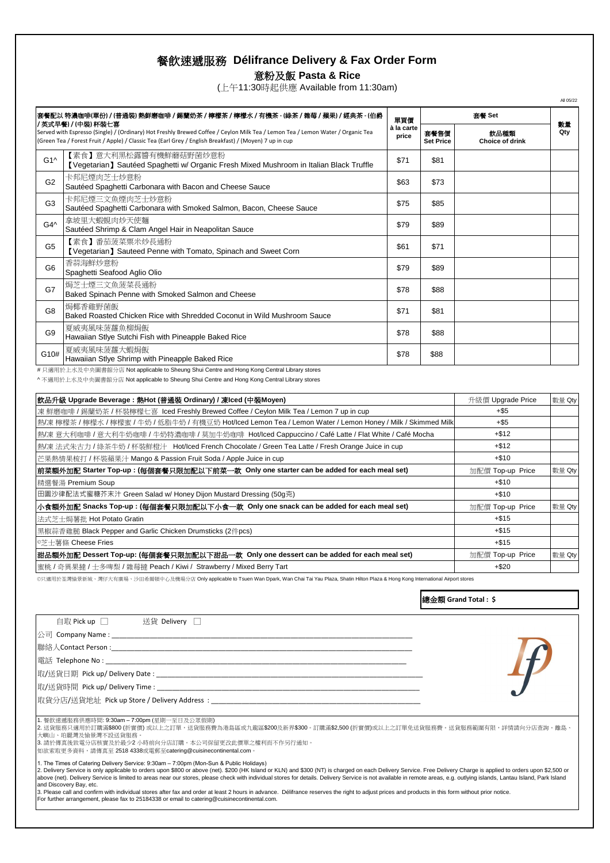意粉及飯 **Pasta & Rice**

(上午11:30時起供應 Available from 11:30am)

|                 | 套餐配以 特濃咖啡(單份) / (普通裝) 熱鮮磨咖啡 / 錫蘭奶茶 / 檸檬茶 / 檸檬水 / 有機茶 - (綠茶 / 雜莓 / 蘋果) / 經典茶 - (伯爵<br>單買價<br>/ 英式早餐) / (中裝) 杯裝七喜                                                                                                                          |                     |                          | 套餐 Set                         |           |
|-----------------|------------------------------------------------------------------------------------------------------------------------------------------------------------------------------------------------------------------------------------------|---------------------|--------------------------|--------------------------------|-----------|
|                 | Served with Espresso (Single) / (Ordinary) Hot Freshly Brewed Coffee / Ceylon Milk Tea / Lemon Tea / Lemon Water / Organic Tea<br>(Green Tea / Forest Fruit / Apple) / Classic Tea (Earl Grey / English Breakfast) / (Moyen) 7 up in cup | à la carte<br>price | 套餐售價<br><b>Set Price</b> | 飲品種類<br><b>Choice of drink</b> | 數量<br>Qty |
| G1 <sub>A</sub> | 【素食】意大利黑松露醬有機鮮蘑菇野菌炒意粉<br>[Vegetarian] Sautéed Spaghetti w/ Organic Fresh Mixed Mushroom in Italian Black Truffle                                                                                                                         | \$71                | \$81                     |                                |           |
| G <sub>2</sub>  | 卡邦尼煙肉芝士炒意粉<br>Sautéed Spaghetti Carbonara with Bacon and Cheese Sauce                                                                                                                                                                    | \$63                | \$73                     |                                |           |
| G3              | 卡邦尼煙三文魚煙肉芝士炒意粉<br>Sautéed Spaghetti Carbonara with Smoked Salmon, Bacon, Cheese Sauce                                                                                                                                                    | \$75                | \$85                     |                                |           |
| G4^             | 拿坡里大蝦蜆肉炒天使麵<br>Sautéed Shrimp & Clam Angel Hair in Neapolitan Sauce                                                                                                                                                                      | \$79                | \$89                     |                                |           |
| G <sub>5</sub>  | 【素食】番茄菠菜粟米炒長通粉<br>[Vegetarian] Sauteed Penne with Tomato, Spinach and Sweet Corn                                                                                                                                                         | \$61                | \$71                     |                                |           |
| G6              | 香蒜海鮮炒意粉<br>Spaghetti Seafood Aglio Olio                                                                                                                                                                                                  | \$79                | \$89                     |                                |           |
| G7              | 焗芝士煙三文魚菠菜長通粉<br>Baked Spinach Penne with Smoked Salmon and Cheese                                                                                                                                                                        | \$78                | \$88                     |                                |           |
| G <sub>8</sub>  | 焗椰香雞野菌飯<br>Baked Roasted Chicken Rice with Shredded Coconut in Wild Mushroom Sauce                                                                                                                                                       | \$71                | \$81                     |                                |           |
| G9              | 夏威夷風味菠蘿魚柳焗飯<br>Hawaiian Stlye Sutchi Fish with Pineapple Baked Rice                                                                                                                                                                      | \$78                | \$88                     |                                |           |
| G10#            | 夏威夷風味菠蘿大蝦焗飯<br>Hawaiian Stlye Shrimp with Pineapple Baked Rice                                                                                                                                                                           | \$78                | \$88                     |                                |           |
|                 | #只適用於上水及中央圖書館分店 Not applicable to Sheung Shui Centre and Hong Kong Central Library stores<br>^ 不適用於上水及中央圖書館分店 Not applicable to Sheung Shui Centre and Hong Kong Central Library stores                                                  |                     |                          |                                |           |
|                 |                                                                                                                                                                                                                                          |                     |                          | 升級價 Upgrade Price              | 數量 Qty    |
|                 | 飲品升級 Upgrade Beverage : 熱Hot (普通裝 Ordinary) / 凍Iced (中裝Moyen)                                                                                                                                                                            |                     |                          |                                |           |
|                 | 凍 鮮磨咖啡 / 錫蘭奶茶 / 杯裝檸檬七喜  lced Freshly Brewed Coffee / Ceylon Milk Tea / Lemon 7 up in cup                                                                                                                                                 |                     |                          | $+$ \$5                        |           |
|                 | 熱/凍 檸檬茶 / 檸檬水 / 檸檬蜜 / 牛奶 / 低脂牛奶 / 有機豆奶 Hot/Iced Lemon Tea / Lemon Water / Lemon Honey / Milk / Skimmed Milk                                                                                                                              |                     |                          | $+$ \$5                        |           |
|                 | 熱/凍 意大利咖啡 / 意大利牛奶咖啡 / 牛奶特濃咖啡 / 莫加牛奶咖啡 Hot/Iced Cappuccino / Café Latte / Flat White / Café Mocha                                                                                                                                         |                     |                          | $+ $12$                        |           |
|                 | 熱/凍 法式朱古力 / 綠茶牛奶 / 杯裝鮮橙汁 Hot/Iced French Chocolate / Green Tea Latte / Fresh Orange Juice in cup                                                                                                                                         |                     |                          | $+ $12$                        |           |
|                 | 芒果熱情果梳打 / 杯裝蘋果汁 Mango & Passion Fruit Soda / Apple Juice in cup                                                                                                                                                                          |                     |                          | $+ $10$                        |           |
|                 | 前菜額外加配 Starter Top-up : (每個套餐只限加配以下前菜一款  Only one starter can be added for each meal set)                                                                                                                                                |                     |                          | 加配價 Top-up Price               | 數量 Qty    |
|                 | 精選餐湯 Premium Soup                                                                                                                                                                                                                        |                     |                          | $+ $10$                        |           |
|                 | 田園沙律配法式蜜糖芥末汁 Green Salad w/ Honey Dijon Mustard Dressing (50g克)                                                                                                                                                                          |                     |                          | $+ $10$                        |           |
|                 | 小食額外加配 Snacks Top-up : (每個套餐只限加配以下小食一款  Only one snack can be added for each meal set)                                                                                                                                                   |                     |                          | 加配價 Top-up Price               | 數量 Qty    |
|                 | 法式芝士焗薯批 Hot Potato Gratin                                                                                                                                                                                                                |                     |                          | $+ $15$                        |           |
|                 | 黑椒蒜香雞膇 Black Pepper and Garlic Chicken Drumsticks (2件pcs)                                                                                                                                                                                |                     |                          | $+ $15$                        |           |
|                 | ◎芝士薯條 Cheese Fries                                                                                                                                                                                                                       |                     |                          | $+ $15$                        |           |
|                 | 甜品額外加配 Dessert Top-up: (每個套餐只限加配以下甜品一款  Only one dessert can be added for each meal set)                                                                                                                                                 |                     |                          | 加配價 Top-up Price               | 數量 Qty    |

總金額 **Grand Total : \$**

| 自取 Pick up □   送貨 Delivery □                                                                                                                                                                                                                                                                               |  |
|------------------------------------------------------------------------------------------------------------------------------------------------------------------------------------------------------------------------------------------------------------------------------------------------------------|--|
|                                                                                                                                                                                                                                                                                                            |  |
|                                                                                                                                                                                                                                                                                                            |  |
|                                                                                                                                                                                                                                                                                                            |  |
|                                                                                                                                                                                                                                                                                                            |  |
|                                                                                                                                                                                                                                                                                                            |  |
| 取貨分店/送貨地址   Pick up Store / Delivery Address  :                                                                                                                                                                                                                                                            |  |
|                                                                                                                                                                                                                                                                                                            |  |
| 1. 餐飲速遞服務供應時間: 9:30am - 7:00pm (星期一至日及公眾假期)<br>2. 送貨服務只適用於訂購滿\$800 (折實價) 或以上之訂單,送貨服務費為港島區或九龍區\$200及新界\$300。訂購滿\$2,500 (折實價)或以上之訂單免送貨服務費。送貨服務範圍有限,詳情請向分店查詢。離島、<br>大嶼山、珀麗灣及愉景灣不設送貨服務。<br> 3. 請於傳真後致電分店核實及於最少2 小時前向分店訂購。本公司保留更改此價單之權利而不作另行通知。<br> 如欲索取更多資料,請傳真至 2518 4338或電郵至catering@cuisinecontinental.com。 |  |
| 1. The Times of Catering Delivery Service: 9:30am - 7:00pm (Mon-Sun & Public Holidays)<br>O Delivery Centias is only applicable to orders upon COO ar obove (not), COO (HK Island or KLN) and COO (NT) is obereed an each Delivery Centias, Free Delivery Charge is applied to arders upon COO or          |  |

1. The Times of Catering Delivery Service: 9:30am – 7:00pm (Mon-Sun & Public Holidays)<br>2. Delivery Service is only applicable to orders upon \$800 or above (net). \$200 (HK Island or KLN) and \$300 (NT) is charged on each Del

For further arrangement, please fax to 25184338 or email to catering@cuisinecontinental.com.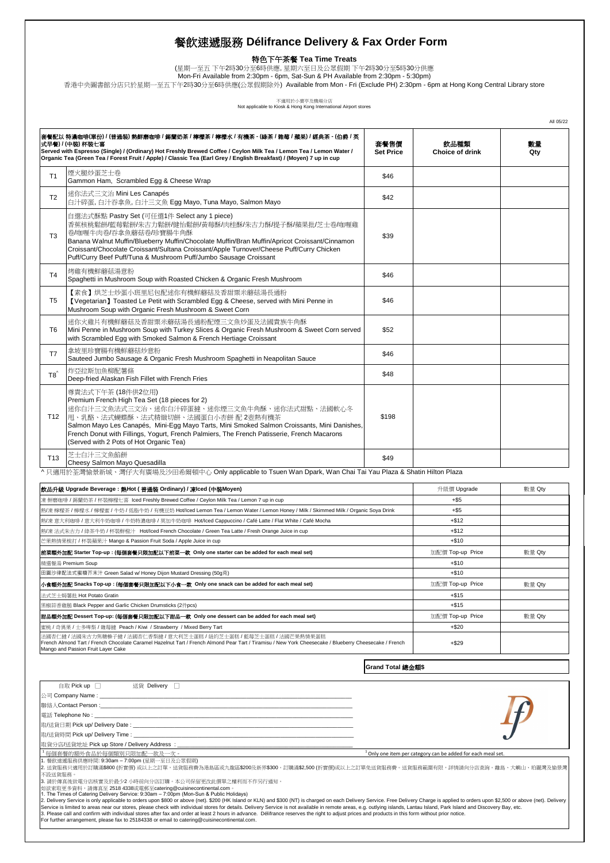特色下午茶餐 **Tea Time Treats**

(星期一至五 下午2時30分至6時供應, 星期六至日及公眾假期 下午2時30分至5時30分供應 Mon-Fri Available from 2:30pm - 6pm, Sat-Sun & PH Available from 2:30pm - 5:30pm)

香港中央圖書館分店只於星期一至五下午2時30分至6時供應(公眾假期除外) Available from Mon - Fri (Exclude PH) 2:30pm - 6pm at Hong Kong Central Library store

不適用於小賣亭及機場分店<br>Not applicable to Kiosk & Hong Kong International Airport stores

|                 | 套餐配以 特濃咖啡(單份) / (普通裝) 熱鮮磨咖啡 / 錫蘭奶茶 / 檸檬茶 / 檸檬水 / 有機茶 – (綠茶 / 雜莓 / 蘋果) / 經典茶 – (伯爵 / 英<br>式早餐) / (中裝) 杯裝七喜<br>Served with Espresso (Single) / (Ordinary) Hot Freshly Brewed Coffee / Ceylon Milk Tea / Lemon Tea / Lemon Water /<br>Organic Tea (Green Tea / Forest Fruit / Apple) / Classic Tea (Earl Grey / English Breakfast) / (Moyen) 7 up in cup                                                                                                                                                                                                                                                                                                                                                                                                                                                                                                           | 套餐售價<br><b>Set Price</b> | 飲品種類<br>Choice of drink                                                 | 數量<br>Qty |
|-----------------|-----------------------------------------------------------------------------------------------------------------------------------------------------------------------------------------------------------------------------------------------------------------------------------------------------------------------------------------------------------------------------------------------------------------------------------------------------------------------------------------------------------------------------------------------------------------------------------------------------------------------------------------------------------------------------------------------------------------------------------------------------------------------------------------------------------------------------------------------------------------|--------------------------|-------------------------------------------------------------------------|-----------|
| T <sub>1</sub>  | 煙火腿炒蛋芝士卷<br>Gammon Ham, Scrambled Egg & Cheese Wrap                                                                                                                                                                                                                                                                                                                                                                                                                                                                                                                                                                                                                                                                                                                                                                                                             | \$46                     |                                                                         |           |
| T <sub>2</sub>  | 迷你法式三文治 Mini Les Canapés<br>白汁碎蛋, 白汁吞拿魚, 白汁三文魚 Egg Mayo, Tuna Mayo, Salmon Mayo                                                                                                                                                                                                                                                                                                                                                                                                                                                                                                                                                                                                                                                                                                                                                                                 | \$42                     |                                                                         |           |
| T <sub>3</sub>  | 自選法式酥點 Pastry Set (可任選1件 Select any 1 piece)<br>香蕉核桃鬆餅/藍莓鬆餅/朱古力鬆餅/健怡鬆餅/黃莓酥/肉桂酥/朱古力酥/提子酥/蘋果批/芝士卷/咖喱雞<br>卷/咖喱牛肉卷/吞拿魚蘑菇卷/珍寶腸牛角酥<br>Banana Walnut Muffin/Blueberry Muffin/Chocolate Muffin/Bran Muffin/Apricot Croissant/Cinnamon<br>Croissant/Chocolate Croissant/Sultana Croissant/Apple Turnover/Cheese Puff/Curry Chicken<br>Puff/Curry Beef Puff/Tuna & Mushroom Puff/Jumbo Sausage Croissant                                                                                                                                                                                                                                                                                                                                                                                                                                                                  | \$39                     |                                                                         |           |
| T4              | 烤雞有機鮮蘑菇湯意粉<br>Spaghetti in Mushroom Soup with Roasted Chicken & Organic Fresh Mushroom                                                                                                                                                                                                                                                                                                                                                                                                                                                                                                                                                                                                                                                                                                                                                                          | \$46                     |                                                                         |           |
| T5              | 【素食】烘芝士炒蛋小班里尼包配迷你有機鮮蘑菇及香甜粟米蘑菇湯長通粉<br>[Vegetarian] Toasted Le Petit with Scrambled Egg & Cheese, served with Mini Penne in<br>Mushroom Soup with Organic Fresh Mushroom & Sweet Corn                                                                                                                                                                                                                                                                                                                                                                                                                                                                                                                                                                                                                                                                             | \$46                     |                                                                         |           |
| T6              | 迷你火雞片有機鮮蘑菇及香甜粟米蘑菇湯長通粉配煙三文魚炒蛋及法國貴族牛角酥<br>Mini Penne in Mushroom Soup with Turkey Slices & Organic Fresh Mushroom & Sweet Corn served<br>with Scrambled Egg with Smoked Salmon & French Hertiage Croissant                                                                                                                                                                                                                                                                                                                                                                                                                                                                                                                                                                                                                                                        | \$52                     |                                                                         |           |
| T7              | 拿坡里珍寶腸有機鮮蘑菇炒意粉<br>Sauteed Jumbo Sausage & Organic Fresh Mushroom Spaghetti in Neapolitan Sauce                                                                                                                                                                                                                                                                                                                                                                                                                                                                                                                                                                                                                                                                                                                                                                  | \$46                     |                                                                         |           |
| $T8^{\prime}$   | 炸亞拉斯加魚柳配薯條<br>Deep-fried Alaskan Fish Fillet with French Fries                                                                                                                                                                                                                                                                                                                                                                                                                                                                                                                                                                                                                                                                                                                                                                                                  | \$48                     |                                                                         |           |
| T12             | 尊貴法式下午茶 (18件供2位用)<br>Premium French High Tea Set (18 pieces for 2)<br>迷你白汁三文魚法式三文治、迷你白汁碎蛋撻、迷你煙三文魚牛角酥、迷你法式甜點、法國軟心冬<br> 甩、乳酪、法式蝴蝶酥、法式精緻切餅、法國蛋白小杏餅 配 2壺熱有機茶<br>Salmon Mayo Les Canapés, Mini-Egg Mayo Tarts, Mini Smoked Salmon Croissants, Mini Danishes,<br>French Donut with Fillings, Yogurt, French Palmiers, The French Patisserie, French Macarons<br>(Served with 2 Pots of Hot Organic Tea)                                                                                                                                                                                                                                                                                                                                                                                                                                                               | \$198                    |                                                                         |           |
| T <sub>13</sub> | 芝士白汁三文魚餡餅<br>Cheesy Salmon Mayo Quesadilla                                                                                                                                                                                                                                                                                                                                                                                                                                                                                                                                                                                                                                                                                                                                                                                                                      | \$49                     |                                                                         |           |
|                 | ^只適用於荃灣愉景新城、灣仔大有廣場及沙田希爾頓中心 Only applicable to Tsuen Wan Dpark, Wan Chai Tai Yau Plaza & Shatin Hilton Plaza                                                                                                                                                                                                                                                                                                                                                                                                                                                                                                                                                                                                                                                                                                                                                     |                          |                                                                         |           |
|                 | 飲品升級 Upgrade Beverage : 熱Hot ( 普通裝 Ordinary) / 凍Iced (中裝Moyen)                                                                                                                                                                                                                                                                                                                                                                                                                                                                                                                                                                                                                                                                                                                                                                                                  |                          | 升級價 Upgrade                                                             | 數量 Qty    |
|                 | 凍 鮮磨咖啡 / 錫蘭奶茶 / 杯裝檸檬七喜 lced Freshly Brewed Coffee / Ceylon Milk Tea / Lemon 7 up in cup                                                                                                                                                                                                                                                                                                                                                                                                                                                                                                                                                                                                                                                                                                                                                                         |                          | $+$ \$5                                                                 |           |
|                 | 熱/凍 檸檬茶 / 檸檬水 / 檸檬蜜 / 牛奶 / 低脂牛奶 / 有機豆奶 Hot/lced Lemon Tea / Lemon Water / Lemon Honey / Milk / Skimmed Milk / Organic Soya Drink                                                                                                                                                                                                                                                                                                                                                                                                                                                                                                                                                                                                                                                                                                                                |                          | $+$ \$5                                                                 |           |
|                 | 熱/凍 意大利咖啡 / 意大利牛奶咖啡 / 牛奶特濃咖啡 / 莫加牛奶咖啡 Hot/Iced Cappuccino / Café Latte / Flat White / Café Mocha                                                                                                                                                                                                                                                                                                                                                                                                                                                                                                                                                                                                                                                                                                                                                                |                          | $+ $12$                                                                 |           |
|                 | 熱/凍 法式朱古力 / 綠茶牛奶 / 杯裝鮮橙汁 Hot/Iced French Chocolate / Green Tea Latte / Fresh Orange Juice in cup                                                                                                                                                                                                                                                                                                                                                                                                                                                                                                                                                                                                                                                                                                                                                                |                          | $+ $12$                                                                 |           |
|                 | 芒果熱情果梳打 / 杯裝蘋果汁 Mango & Passion Fruit Soda / Apple Juice in cup                                                                                                                                                                                                                                                                                                                                                                                                                                                                                                                                                                                                                                                                                                                                                                                                 |                          | $+ $10$                                                                 |           |
|                 | 前菜額外加配 Starter Top-up: (每個套餐只限加配以下前菜一款 Only one starter can be added for each meal set)<br>精選餐湯 Premium Soup                                                                                                                                                                                                                                                                                                                                                                                                                                                                                                                                                                                                                                                                                                                                                    |                          | 加配價 Top-up Price                                                        | 數量 Qty    |
|                 | 田園沙律配法式蜜糖芥末汁 Green Salad w/ Honey Dijon Mustard Dressing (50g克)                                                                                                                                                                                                                                                                                                                                                                                                                                                                                                                                                                                                                                                                                                                                                                                                 |                          | $+ $10$<br>$+ $10$                                                      |           |
|                 | 小食額外加配 Snacks Top-up : (每個套餐只限加配以下小食一款 Only one snack can be added for each meal set)                                                                                                                                                                                                                                                                                                                                                                                                                                                                                                                                                                                                                                                                                                                                                                           |                          | 加配價 Top-up Price                                                        | 數量 Qty    |
|                 | 法式芝士焗薯批 Hot Potato Gratin                                                                                                                                                                                                                                                                                                                                                                                                                                                                                                                                                                                                                                                                                                                                                                                                                                       |                          | $+ $15$                                                                 |           |
|                 | 黑椒蒜香雞膇 Black Pepper and Garlic Chicken Drumsticks (2件pcs)                                                                                                                                                                                                                                                                                                                                                                                                                                                                                                                                                                                                                                                                                                                                                                                                       |                          | $+ $15$                                                                 |           |
|                 | 甜品額外加配 Dessert Top-up: (每個套餐只限加配以下甜品一款 Only one dessert can be added for each meal set)                                                                                                                                                                                                                                                                                                                                                                                                                                                                                                                                                                                                                                                                                                                                                                         |                          | 加配價 Top-up Price                                                        | 數量 Qty    |
|                 | 蜜桃 / 奇異果 / 士多啤梨 / 雜莓撻 Peach / Kiwi / Strawberry / Mixed Berry Tart                                                                                                                                                                                                                                                                                                                                                                                                                                                                                                                                                                                                                                                                                                                                                                                              |                          | $+ $20$                                                                 |           |
|                 | 法國杏仁權 / 法國朱古力焦糖榛子褲 / 法國杏仁香梨褲 / 意大利芝士蛋糕 / 纽約芝士蛋糕 / 藍莓芝士蛋糕 / 法國芒果熱情果蛋糕<br>French Almond Tart / French Chocolate Caramel Hazelnut Tart / French Almond Pear Tart / Tiramisu / New York Cheesecake / Blueberry Cheesecake / French<br>Mango and Passion Fruit Layer Cake                                                                                                                                                                                                                                                                                                                                                                                                                                                                                                                                                                                            |                          | $+ $29$                                                                 |           |
|                 |                                                                                                                                                                                                                                                                                                                                                                                                                                                                                                                                                                                                                                                                                                                                                                                                                                                                 | Grand Total 線金額\$        |                                                                         |           |
|                 | 送貨 Delivery 口<br>自取 Pick up $\Box$                                                                                                                                                                                                                                                                                                                                                                                                                                                                                                                                                                                                                                                                                                                                                                                                                              |                          |                                                                         |           |
|                 | 公司 Company Name : ________________________                                                                                                                                                                                                                                                                                                                                                                                                                                                                                                                                                                                                                                                                                                                                                                                                                      |                          |                                                                         |           |
|                 |                                                                                                                                                                                                                                                                                                                                                                                                                                                                                                                                                                                                                                                                                                                                                                                                                                                                 |                          |                                                                         |           |
|                 | 電話 Telephone No: __<br>取/送貨日期 Pick up/ Delivery Date: ____                                                                                                                                                                                                                                                                                                                                                                                                                                                                                                                                                                                                                                                                                                                                                                                                      |                          |                                                                         |           |
|                 | 取/送貨時間 Pick up/ Delivery Time : __                                                                                                                                                                                                                                                                                                                                                                                                                                                                                                                                                                                                                                                                                                                                                                                                                              |                          |                                                                         |           |
|                 | 取貨分店/送貨地址 Pick up Store / Delivery Address: _                                                                                                                                                                                                                                                                                                                                                                                                                                                                                                                                                                                                                                                                                                                                                                                                                   |                          |                                                                         |           |
| 不設送貨服務。         | "每個套餐的額外食品於每個類別只限加配一款及一次。<br>1. 餐飲速遞服務供應時間: 9:30am - 7:00pm (星期一至日及公眾假期)<br>2. 送貨服務只適用於訂購滿\$800 (折實價) 或以上之訂單,送貨服務費為港島區或九龍區\$200及新界\$300。訂購滿\$2,500 (折實價)或以上之訂單免送貨服務費。送貨服務範圍有限,詳情請向分店查詢。離島、大嶼山、珀麗灣及愉景灣<br>3. 請於傳真後致電分店核實及於最少2 小時前向分店訂購。本公司保留更改此價單之權利而不作另行通知。<br>如欲索取更多資料,請傳真至 2518 4338或電郵至catering@cuisinecontinental.com。                                                                                                                                                                                                                                                                                                                                                                                                                                                                                                                                      |                          | <sup>1</sup> Only one item per category can be added for each meal set. |           |
|                 | 1. The Times of Catering Delivery Service: 9:30am - 7:00pm (Mon-Sun & Public Holidays)<br>2. Delivery Service is only applicable to orders upon \$800 or above (net). \$200 (HK Island or KLN) and \$300 (NT) is charged on each Delivery Service. Free Delivery Charge is applied to orders upon \$2,500 or above (net). De<br>Service is limited to areas near our stores, please check with individual stores for details. Delivery Service is not available in remote areas, e.g. outlying islands, Lantau Island, Park Island and Discovery Bay, etc.<br>3. Please call and confirm with individual stores after fax and order at least 2 hours in advance. Délifrance reserves the right to adjust prices and products in this form without prior notice.<br>For further arrangement, please fax to 25184338 or email to catering@cuisinecontinental.com. |                          |                                                                         |           |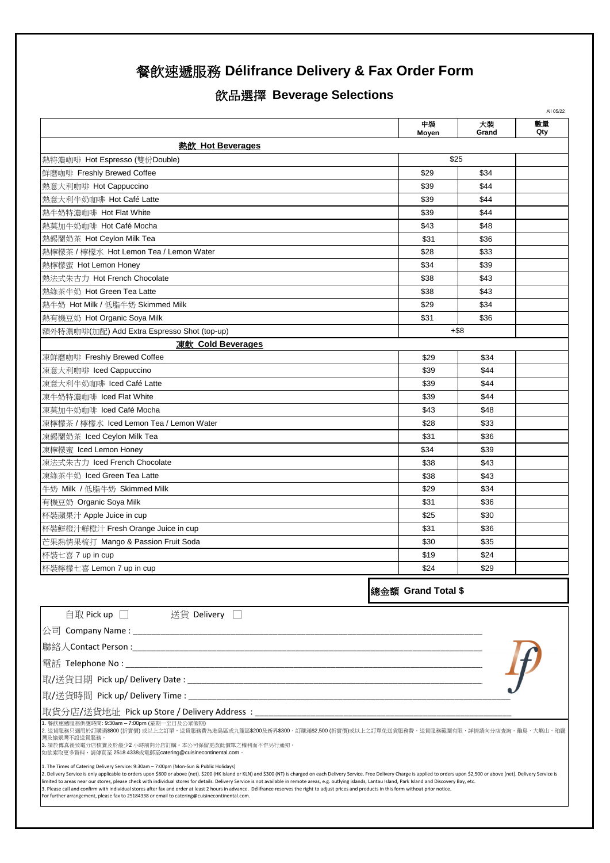# 飲品選擇 **Beverage Selections**

|                                                                                                                                                                                                                                                                                                                                                                                                                                                                                                                                                                                                                                                                                                                                                                                                                                                      |                    |             | All 05/22 |
|------------------------------------------------------------------------------------------------------------------------------------------------------------------------------------------------------------------------------------------------------------------------------------------------------------------------------------------------------------------------------------------------------------------------------------------------------------------------------------------------------------------------------------------------------------------------------------------------------------------------------------------------------------------------------------------------------------------------------------------------------------------------------------------------------------------------------------------------------|--------------------|-------------|-----------|
|                                                                                                                                                                                                                                                                                                                                                                                                                                                                                                                                                                                                                                                                                                                                                                                                                                                      | 中装<br>Moyen        | 大裝<br>Grand | 數量<br>Qty |
| 熱飲 Hot Beverages                                                                                                                                                                                                                                                                                                                                                                                                                                                                                                                                                                                                                                                                                                                                                                                                                                     |                    |             |           |
| 熱特濃咖啡 Hot Espresso (雙份Double)                                                                                                                                                                                                                                                                                                                                                                                                                                                                                                                                                                                                                                                                                                                                                                                                                        |                    | \$25        |           |
| 鮮磨咖啡 Freshly Brewed Coffee                                                                                                                                                                                                                                                                                                                                                                                                                                                                                                                                                                                                                                                                                                                                                                                                                           | \$29               | \$34        |           |
| 熱意大利咖啡 Hot Cappuccino                                                                                                                                                                                                                                                                                                                                                                                                                                                                                                                                                                                                                                                                                                                                                                                                                                | \$39               | \$44        |           |
| 熱意大利牛奶咖啡 Hot Café Latte                                                                                                                                                                                                                                                                                                                                                                                                                                                                                                                                                                                                                                                                                                                                                                                                                              | \$39               | \$44        |           |
| 熱牛奶特濃咖啡 Hot Flat White                                                                                                                                                                                                                                                                                                                                                                                                                                                                                                                                                                                                                                                                                                                                                                                                                               | \$39               | \$44        |           |
| 熱莫加牛奶咖啡 Hot Café Mocha                                                                                                                                                                                                                                                                                                                                                                                                                                                                                                                                                                                                                                                                                                                                                                                                                               | \$43               | \$48        |           |
| 熱錫蘭奶茶 Hot Ceylon Milk Tea                                                                                                                                                                                                                                                                                                                                                                                                                                                                                                                                                                                                                                                                                                                                                                                                                            | \$31               | \$36        |           |
| 熱檸檬茶 / 檸檬水 Hot Lemon Tea / Lemon Water                                                                                                                                                                                                                                                                                                                                                                                                                                                                                                                                                                                                                                                                                                                                                                                                               | \$28               | \$33        |           |
| 熱檸檬蜜 Hot Lemon Honey                                                                                                                                                                                                                                                                                                                                                                                                                                                                                                                                                                                                                                                                                                                                                                                                                                 | \$34               | \$39        |           |
| 熱法式朱古力 Hot French Chocolate                                                                                                                                                                                                                                                                                                                                                                                                                                                                                                                                                                                                                                                                                                                                                                                                                          | \$38               | \$43        |           |
| 熱綠茶牛奶 Hot Green Tea Latte                                                                                                                                                                                                                                                                                                                                                                                                                                                                                                                                                                                                                                                                                                                                                                                                                            | \$38               | \$43        |           |
| 熱牛奶 Hot Milk / 低脂牛奶 Skimmed Milk                                                                                                                                                                                                                                                                                                                                                                                                                                                                                                                                                                                                                                                                                                                                                                                                                     | \$29               | \$34        |           |
| 熱有機豆奶 Hot Organic Soya Milk                                                                                                                                                                                                                                                                                                                                                                                                                                                                                                                                                                                                                                                                                                                                                                                                                          | \$31               | \$36        |           |
| 額外特濃咖啡(加配) Add Extra Espresso Shot (top-up)                                                                                                                                                                                                                                                                                                                                                                                                                                                                                                                                                                                                                                                                                                                                                                                                          |                    | $+$ \$8     |           |
| <b>凍飲 Cold Beverages</b>                                                                                                                                                                                                                                                                                                                                                                                                                                                                                                                                                                                                                                                                                                                                                                                                                             |                    |             |           |
| 凍鮮磨咖啡 Freshly Brewed Coffee                                                                                                                                                                                                                                                                                                                                                                                                                                                                                                                                                                                                                                                                                                                                                                                                                          | \$29               | \$34        |           |
| 凍意大利咖啡 Iced Cappuccino                                                                                                                                                                                                                                                                                                                                                                                                                                                                                                                                                                                                                                                                                                                                                                                                                               | \$39               | \$44        |           |
| 凍意大利牛奶咖啡 Iced Café Latte                                                                                                                                                                                                                                                                                                                                                                                                                                                                                                                                                                                                                                                                                                                                                                                                                             | \$39               | \$44        |           |
| 凍牛奶特濃咖啡 Iced Flat White                                                                                                                                                                                                                                                                                                                                                                                                                                                                                                                                                                                                                                                                                                                                                                                                                              | \$39               | \$44        |           |
| 凍莫加牛奶咖啡 Iced Café Mocha                                                                                                                                                                                                                                                                                                                                                                                                                                                                                                                                                                                                                                                                                                                                                                                                                              | \$43               | \$48        |           |
| 凍檸檬茶 / 檸檬水 Iced Lemon Tea / Lemon Water                                                                                                                                                                                                                                                                                                                                                                                                                                                                                                                                                                                                                                                                                                                                                                                                              | \$28               | \$33        |           |
| 凍錫蘭奶茶 Iced Ceylon Milk Tea                                                                                                                                                                                                                                                                                                                                                                                                                                                                                                                                                                                                                                                                                                                                                                                                                           | \$31               | \$36        |           |
| 凍檸檬蜜 Iced Lemon Honey                                                                                                                                                                                                                                                                                                                                                                                                                                                                                                                                                                                                                                                                                                                                                                                                                                | \$34               | \$39        |           |
| 凍法式朱古力 Iced French Chocolate                                                                                                                                                                                                                                                                                                                                                                                                                                                                                                                                                                                                                                                                                                                                                                                                                         | \$38               | \$43        |           |
| 凍綠茶牛奶 Iced Green Tea Latte                                                                                                                                                                                                                                                                                                                                                                                                                                                                                                                                                                                                                                                                                                                                                                                                                           | \$38               | \$43        |           |
| 牛奶 Milk / 低脂牛奶 Skimmed Milk                                                                                                                                                                                                                                                                                                                                                                                                                                                                                                                                                                                                                                                                                                                                                                                                                          | \$29               | \$34        |           |
| 有機豆奶 Organic Soya Milk                                                                                                                                                                                                                                                                                                                                                                                                                                                                                                                                                                                                                                                                                                                                                                                                                               | \$31               | \$36        |           |
| 杯裝蘋果汁 Apple Juice in cup                                                                                                                                                                                                                                                                                                                                                                                                                                                                                                                                                                                                                                                                                                                                                                                                                             | \$25               | \$30        |           |
| 杯裝鮮橙汁鮮橙汁 Fresh Orange Juice in cup                                                                                                                                                                                                                                                                                                                                                                                                                                                                                                                                                                                                                                                                                                                                                                                                                   | \$31               | \$36        |           |
| 芒果熱情果梳打 Mango & Passion Fruit Soda                                                                                                                                                                                                                                                                                                                                                                                                                                                                                                                                                                                                                                                                                                                                                                                                                   | \$30               | \$35        |           |
| 杯裝七喜 7 up in cup                                                                                                                                                                                                                                                                                                                                                                                                                                                                                                                                                                                                                                                                                                                                                                                                                                     | \$19               | \$24        |           |
| 杯裝檸檬七喜 Lemon 7 up in cup                                                                                                                                                                                                                                                                                                                                                                                                                                                                                                                                                                                                                                                                                                                                                                                                                             | \$24               | \$29        |           |
|                                                                                                                                                                                                                                                                                                                                                                                                                                                                                                                                                                                                                                                                                                                                                                                                                                                      |                    |             |           |
|                                                                                                                                                                                                                                                                                                                                                                                                                                                                                                                                                                                                                                                                                                                                                                                                                                                      | 總金額 Grand Total \$ |             |           |
| 自取 Pick up □ 送貨 Delivery □                                                                                                                                                                                                                                                                                                                                                                                                                                                                                                                                                                                                                                                                                                                                                                                                                           |                    |             |           |
|                                                                                                                                                                                                                                                                                                                                                                                                                                                                                                                                                                                                                                                                                                                                                                                                                                                      |                    |             |           |
|                                                                                                                                                                                                                                                                                                                                                                                                                                                                                                                                                                                                                                                                                                                                                                                                                                                      |                    |             |           |
|                                                                                                                                                                                                                                                                                                                                                                                                                                                                                                                                                                                                                                                                                                                                                                                                                                                      |                    |             |           |
|                                                                                                                                                                                                                                                                                                                                                                                                                                                                                                                                                                                                                                                                                                                                                                                                                                                      |                    |             |           |
|                                                                                                                                                                                                                                                                                                                                                                                                                                                                                                                                                                                                                                                                                                                                                                                                                                                      |                    |             |           |
| 取貨分店/送貨地址 Pick up Store / Delivery Address: __________________                                                                                                                                                                                                                                                                                                                                                                                                                                                                                                                                                                                                                                                                                                                                                                                       |                    |             |           |
| 1. 餐飲速遞服務供應時間: 9:30am - 7:00pm (星期一至日及公眾假期)<br>2. 送貨服務只適用於訂購滿\$800 (折實價) 或以上之訂單,送貨服務費為港島區或九龍區\$200及新界\$300。訂購滿\$2,500 (折實價)或以上之訂單免送貨服務費。送貨服務範圍有限,詳情請向分店查詢。離島、大嶼山、珀麗<br>灣及愉景灣不設送貨服務。<br>3. 請於傳真後致電分店核實及於最少2 小時前向分店訂購。本公司保留更改此價單之權利而不作另行通知。<br>如欲索取更多資料,請傳真至 2518 4338或電郵至catering@cuisinecontinental.com。                                                                                                                                                                                                                                                                                                                                                                                                                                                                                                                                             |                    |             |           |
| 1. The Times of Catering Delivery Service: 9:30am - 7:00pm (Mon-Sun & Public Holidays)<br>2. Delivery Service is only applicable to orders upon \$800 or above (net). \$200 (HK Island or KLN) and \$300 (NT) is charged on each Delivery Service. Free Delivery Charge is applied to orders upon \$2,500 or above (net). De<br>limited to areas near our stores, please check with individual stores for details. Delivery Service is not available in remote areas, e.g. outlying islands, Lantau Island, Park Island and Discovery Bay, etc.<br>3. Please call and confirm with individual stores after fax and order at least 2 hours in advance. Délifrance reserves the right to adjust prices and products in this form without prior notice.<br>For further arrangement, please fax to 25184338 or email to catering@cuisinecontinental.com. |                    |             |           |